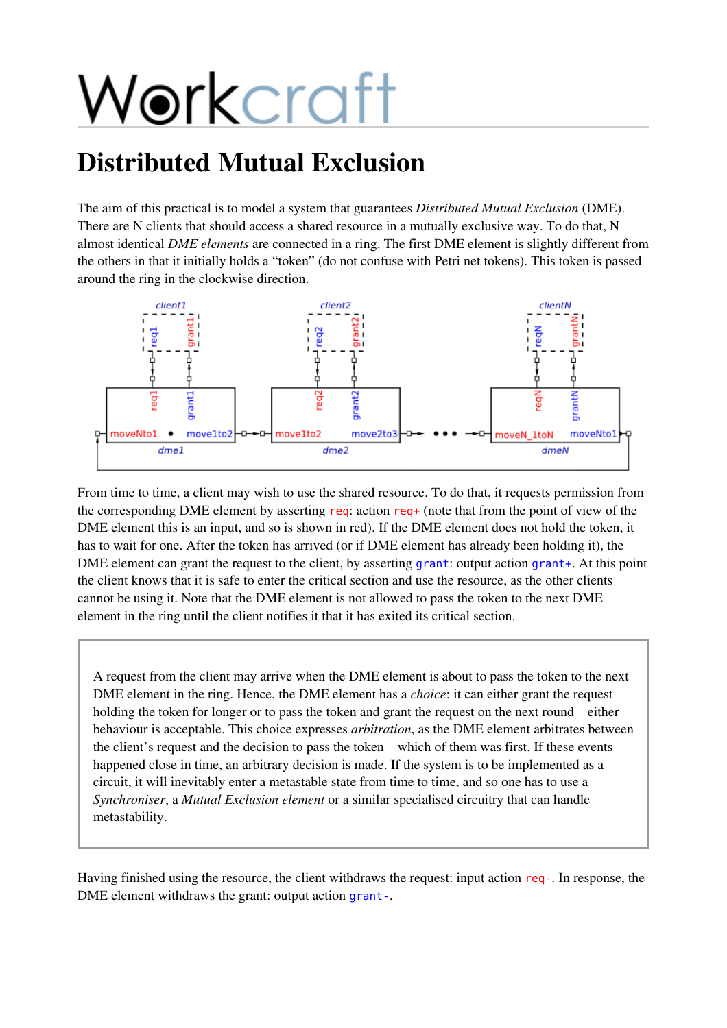# Workcraft

## Distributed Mutual Exclusion

The aim of this practical is to model a system that guarantees *Distributed Mutual Exclusion* (DME). There are N clients that should access a shared resource in a mutually exclusive way. To do that, N almost identical *DME elements* are connected in a ring. The first DME element is slightly different from the others in that it initially holds a "token" (do not confuse with Petri net tokens). This token is passed around the ring in the clockwise direction.



From time to time, a client may wish to use the shared resource. To do that, it requests permission from the corresponding DME element by asserting req: action req+ (note that from the point of view of the DME element this is an input, and so is shown in red). If the DME element does not hold the token, it has to wait for one. After the token has arrived (or if DME element has already been holding it), the DME element can grant the request to the client, by asserting grant: output action grant+. At this point the client knows that it is safe to enter the critical section and use the resource, as the other clients cannot be using it. Note that the DME element is not allowed to pass the token to the next DME element in the ring until the client notifies it that it has exited its critical section.

A request from the client may arrive when the DME element is about to pass the token to the next DME element in the ring. Hence, the DME element has a *choice*: it can either grant the request holding the token for longer or to pass the token and grant the request on the next round – either behaviour is acceptable. This choice expresses *arbitration*, as the DME element arbitrates between the client's request and the decision to pass the token – which of them was first. If these events happened close in time, an arbitrary decision is made. If the system is to be implemented as a circuit, it will inevitably enter a metastable state from time to time, and so one has to use a *Synchroniser*, a *Mutual Exclusion element* or a similar specialised circuitry that can handle metastability.

Having finished using the resource, the client withdraws the request: input action req-. In response, the DME element withdraws the grant: output action grant-.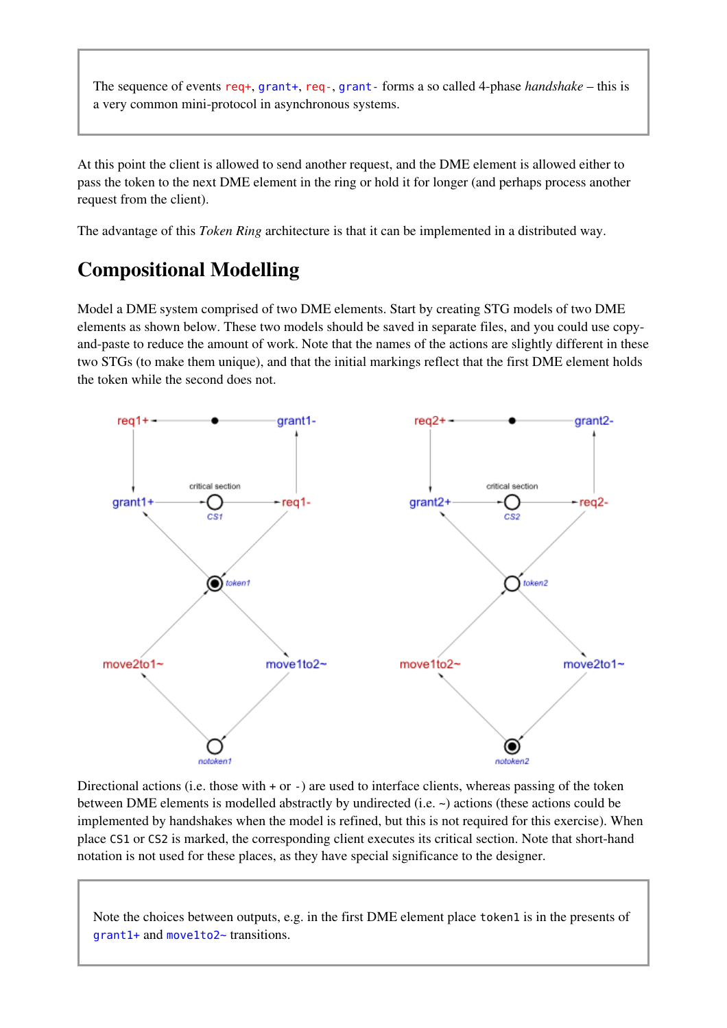The sequence of events req+, grant+, req-, grant-forms a so called 4-phase *handshake* – this is a very common mini-protocol in asynchronous systems.

At this point the client is allowed to send another request, and the DME element is allowed either to pass the token to the next DME element in the ring or hold it for longer (and perhaps process another request from the client).

The advantage of this *Token Ring* architecture is that it can be implemented in a distributed way.

### Compositional Modelling

Model a DME system comprised of two DME elements. Start by creating STG models of two DME elements as shown below. These two models should be saved in separate files, and you could use copyand-paste to reduce the amount of work. Note that the names of the actions are slightly different in these two STGs (to make them unique), and that the initial markings reflect that the first DME element holds the token while the second does not.



Directional actions (i.e. those with  $+$  or  $-$ ) are used to interface clients, whereas passing of the token between DME elements is modelled abstractly by undirected (i.e. ~) actions (these actions could be implemented by handshakes when the model is refined, but this is not required for this exercise). When place CS1or CS2is marked, the corresponding client executes its critical section. Note that short-hand notation is not used for these places, as they have special significance to the designer.

Note the choices between outputs, e.g. in the first DME element place token1 is in the presents of grant1+ and move1to2~ transitions.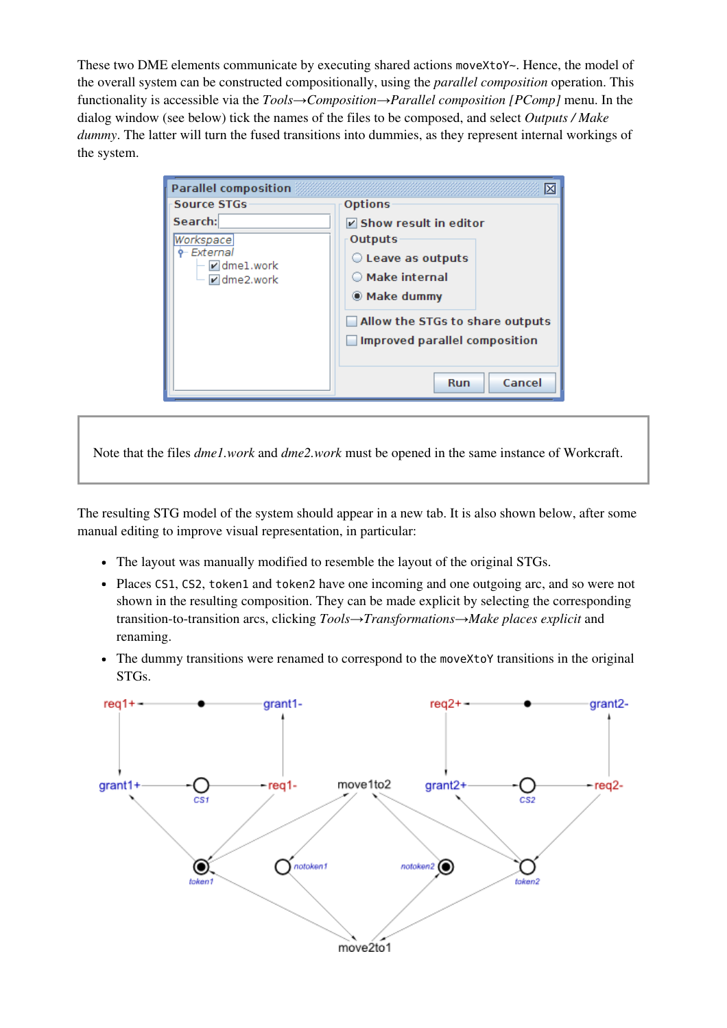These two DME elements communicate by executing shared actions moveXtoY~. Hence, the model of the overall system can be constructed compositionally, using the *parallel composition* operation. This functionality is accessible via the *Tools→Composition→Parallel composition [PComp]* menu. In the dialog window (see below) tick the names of the files to be composed, and select *Outputs / Make dummy*. The latter will turn the fused transitions into dummies, as they represent internal workings of the system.

| <b>Parallel composition</b><br>IХ                                                                                       |                                                                                                                                           |
|-------------------------------------------------------------------------------------------------------------------------|-------------------------------------------------------------------------------------------------------------------------------------------|
| Source STGs<br>Search:<br>Workspace<br>- External<br>$\blacktriangleright$ dmel.work<br>$\blacktriangleright$ dme2.work | <b>Options</b><br>$\triangledown$ Show result in editor<br>Outputs<br>Leave as outputs<br>$\bigcirc$ Make internal<br><b>O</b> Make dummy |
|                                                                                                                         | Allow the STGs to share outputs<br><b>Improved parallel composition</b><br>Cancel<br>Run                                                  |

Note that the files *dme1.work* and *dme2.work* must be opened in the same instance of Workcraft.

The resulting STG model of the system should appear in a new tab. It is also shown below, after some manual editing to improve visual representation, in particular:

- The layout was manually modified to resemble the layout of the original STGs.
- Places CS1, CS2, token1 and token2 have one incoming and one outgoing arc, and so were not shown in the resulting composition. They can be made explicit by selecting the corresponding transition-to-transition arcs, clicking *Tools→Transformations→Make places explicit* and renaming.
- The dummy transitions were renamed to correspond to the moveXtoY transitions in the original STGs.

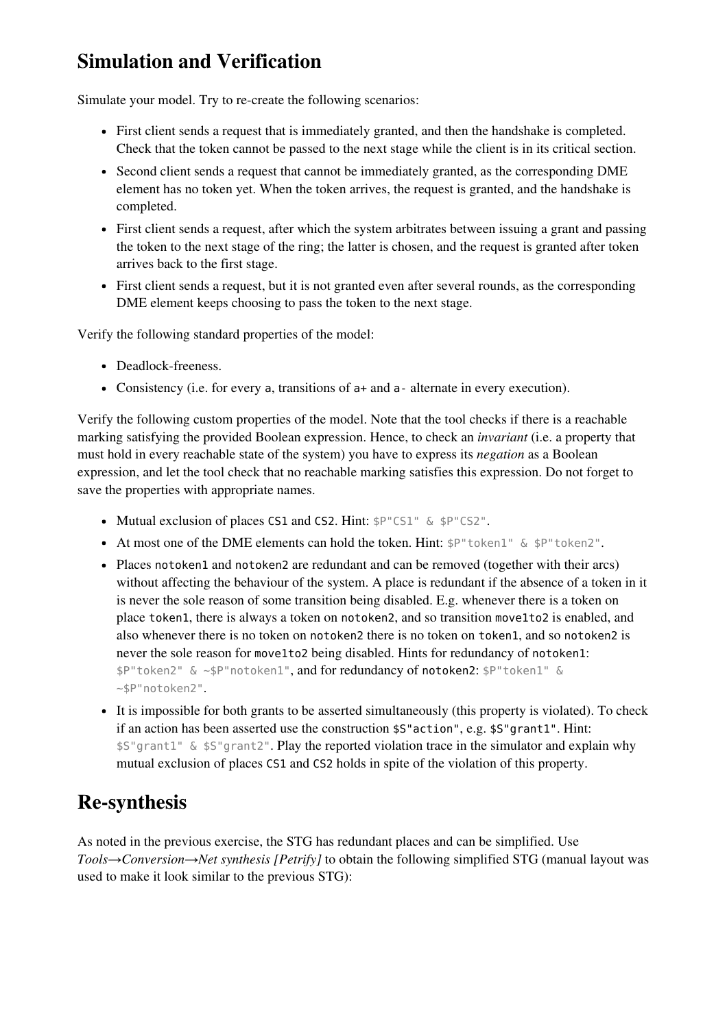### Simulation and Verification

Simulate your model. Try to re-create the following scenarios:

- First client sends a request that is immediately granted, and then the handshake is completed. Check that the token cannot be passed to the next stage while the client is in its critical section.
- Second client sends a request that cannot be immediately granted, as the corresponding DME element has no token yet. When the token arrives, the request is granted, and the handshake is completed.
- First client sends a request, after which the system arbitrates between issuing a grant and passing the token to the next stage of the ring; the latter is chosen, and the request is granted after token arrives back to the first stage.
- First client sends a request, but it is not granted even after several rounds, as the corresponding DME element keeps choosing to pass the token to the next stage.

Verify the following standard properties of the model:

- Deadlock-freeness.
- Consistency (i.e. for every a, transitions of a+and a-alternate in every execution).

Verify the following custom properties of the model. Note that the tool checks if there is a reachable marking satisfying the provided Boolean expression. Hence, to check an *invariant* (i.e. a property that must hold in every reachable state of the system) you have to express its *negation* as a Boolean expression, and let the tool check that no reachable marking satisfies this expression. Do not forget to save the properties with appropriate names.

- Mutual exclusion of places CS1 and CS2. Hint:  $$P''CS1'' \& $P''CS2''$.$
- At most one of the DME elements can hold the token. Hint:  $P^{\text{m}}$  token1" &  $P^{\text{m}}$  token2".
- Places notoken1 and notoken2 are redundant and can be removed (together with their arcs) without affecting the behaviour of the system. A place is redundant if the absence of a token in it is never the sole reason of some transition being disabled. E.g. whenever there is a token on place token1, there is always a token on notoken2, and so transition move1to2 is enabled, and also whenever there is no token on notoken2 there is no token on token1, and so notoken2 is never the sole reason for move1to2 being disabled. Hints for redundancy of notoken1: \$P"token2" & ~\$P"notoken1", and for redundancy of notoken2: \$P"token1" & ~\$P"notoken2".
- It is impossible for both grants to be asserted simultaneously (this property is violated). To check if an action has been asserted use the construction  $$S$ "action", e.g.  $$S$ "grant1". Hint: \$S"grant1" & \$S"grant2". Play the reported violation trace in the simulator and explain why mutual exclusion of places CS1and CS2holds in spite of the violation of this property.

#### Re-synthesis

As noted in the previous exercise, the STG has redundant places and can be simplified. Use *Tools→Conversion→Net synthesis [Petrify]* to obtain the following simplified STG (manual layout was used to make it look similar to the previous STG):